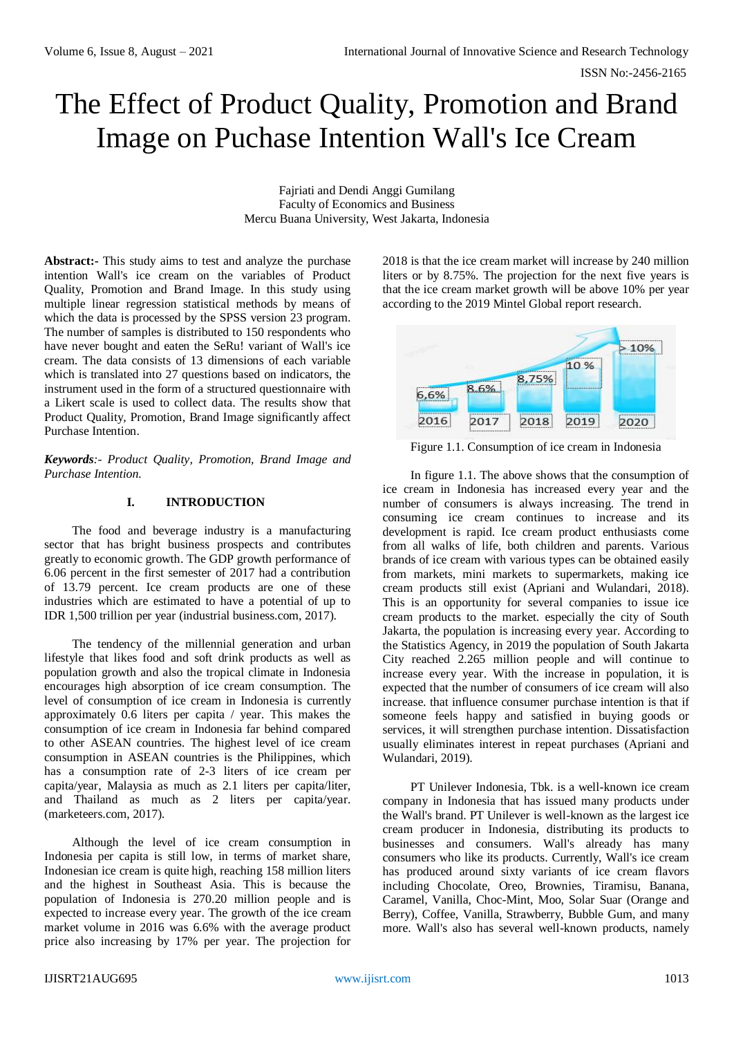ISSN No:-2456-2165

# The Effect of Product Quality, Promotion and Brand Image on Puchase Intention Wall's Ice Cream

Fajriati and Dendi Anggi Gumilang Faculty of Economics and Business Mercu Buana University, West Jakarta, Indonesia

**Abstract:-** This study aims to test and analyze the purchase intention Wall's ice cream on the variables of Product Quality, Promotion and Brand Image. In this study using multiple linear regression statistical methods by means of which the data is processed by the SPSS version 23 program. The number of samples is distributed to 150 respondents who have never bought and eaten the SeRu! variant of Wall's ice cream. The data consists of 13 dimensions of each variable which is translated into 27 questions based on indicators, the instrument used in the form of a structured questionnaire with a Likert scale is used to collect data. The results show that Product Quality, Promotion, Brand Image significantly affect Purchase Intention.

*Keywords:- Product Quality, Promotion, Brand Image and Purchase Intention.*

# **I. INTRODUCTION**

The food and beverage industry is a manufacturing sector that has bright business prospects and contributes greatly to economic growth. The GDP growth performance of 6.06 percent in the first semester of 2017 had a contribution of 13.79 percent. Ice cream products are one of these industries which are estimated to have a potential of up to IDR 1,500 trillion per year (industrial business.com, 2017).

The tendency of the millennial generation and urban lifestyle that likes food and soft drink products as well as population growth and also the tropical climate in Indonesia encourages high absorption of ice cream consumption. The level of consumption of ice cream in Indonesia is currently approximately 0.6 liters per capita / year. This makes the consumption of ice cream in Indonesia far behind compared to other ASEAN countries. The highest level of ice cream consumption in ASEAN countries is the Philippines, which has a consumption rate of 2-3 liters of ice cream per capita/year, Malaysia as much as 2.1 liters per capita/liter, and Thailand as much as 2 liters per capita/year. (marketeers.com, 2017).

Although the level of ice cream consumption in Indonesia per capita is still low, in terms of market share, Indonesian ice cream is quite high, reaching 158 million liters and the highest in Southeast Asia. This is because the population of Indonesia is 270.20 million people and is expected to increase every year. The growth of the ice cream market volume in 2016 was 6.6% with the average product price also increasing by 17% per year. The projection for

2018 is that the ice cream market will increase by 240 million liters or by 8.75%. The projection for the next five years is that the ice cream market growth will be above 10% per year according to the 2019 Mintel Global report research.



Figure 1.1. Consumption of ice cream in Indonesia

In figure 1.1. The above shows that the consumption of ice cream in Indonesia has increased every year and the number of consumers is always increasing. The trend in consuming ice cream continues to increase and its development is rapid. Ice cream product enthusiasts come from all walks of life, both children and parents. Various brands of ice cream with various types can be obtained easily from markets, mini markets to supermarkets, making ice cream products still exist (Apriani and Wulandari, 2018). This is an opportunity for several companies to issue ice cream products to the market. especially the city of South Jakarta, the population is increasing every year. According to the Statistics Agency, in 2019 the population of South Jakarta City reached 2.265 million people and will continue to increase every year. With the increase in population, it is expected that the number of consumers of ice cream will also increase. that influence consumer purchase intention is that if someone feels happy and satisfied in buying goods or services, it will strengthen purchase intention. Dissatisfaction usually eliminates interest in repeat purchases (Apriani and Wulandari, 2019).

PT Unilever Indonesia, Tbk. is a well-known ice cream company in Indonesia that has issued many products under the Wall's brand. PT Unilever is well-known as the largest ice cream producer in Indonesia, distributing its products to businesses and consumers. Wall's already has many consumers who like its products. Currently, Wall's ice cream has produced around sixty variants of ice cream flavors including Chocolate, Oreo, Brownies, Tiramisu, Banana, Caramel, Vanilla, Choc-Mint, Moo, Solar Suar (Orange and Berry), Coffee, Vanilla, Strawberry, Bubble Gum, and many more. Wall's also has several well-known products, namely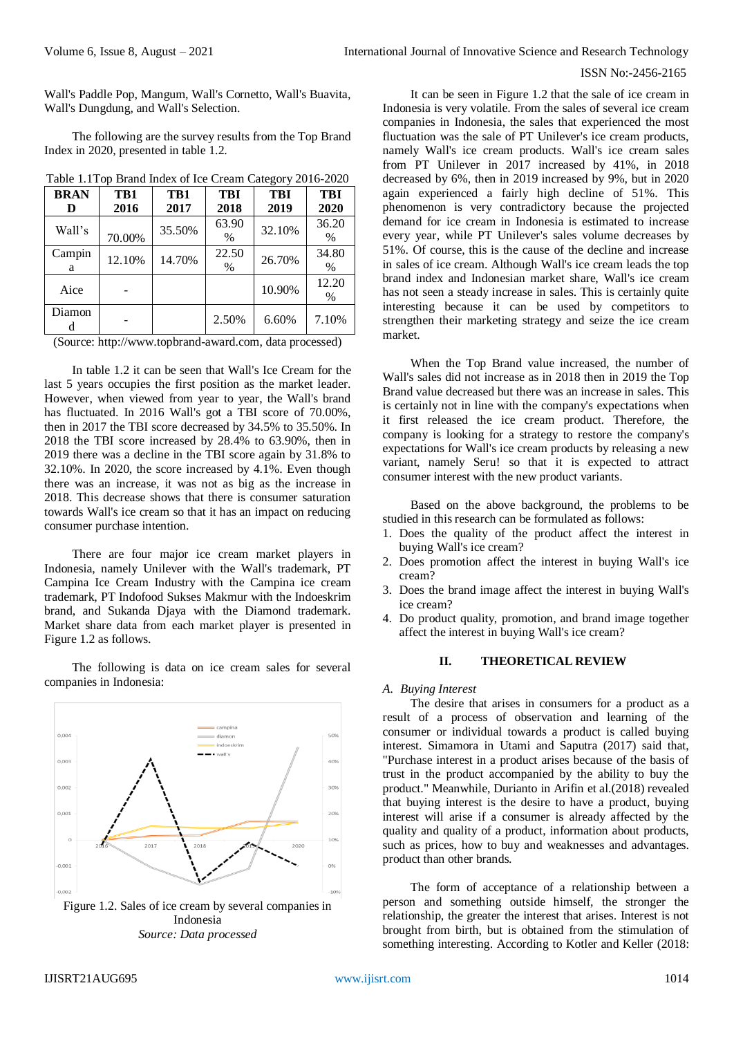Wall's Paddle Pop, Mangum, Wall's Cornetto, Wall's Buavita, Wall's Dungdung, and Wall's Selection.

The following are the survey results from the Top Brand Index in 2020, presented in table 1.2.

| ניים             |             |             |                    |                    |                    |
|------------------|-------------|-------------|--------------------|--------------------|--------------------|
| <b>BRAN</b><br>D | TB1<br>2016 | TB1<br>2017 | <b>TBI</b><br>2018 | <b>TBI</b><br>2019 | <b>TBI</b><br>2020 |
| Wall's           | 70.00%      | 35.50%      | 63.90<br>$\%$      | 32.10%             | 36.20<br>%         |
| Campin<br>a      | 12.10%      | 14.70%      | 22.50<br>$\%$      | 26.70%             | 34.80<br>%         |
| Aice             |             |             |                    | 10.90%             | 12.20<br>%         |
| Diamon           |             |             | 2.50%              | 6.60%              | 7.10%              |

Table 1.1Top Brand Index of Ice Cream Category 2016-2020

(Source: http://www.topbrand-award.com, data processed)

In table 1.2 it can be seen that Wall's Ice Cream for the last 5 years occupies the first position as the market leader. However, when viewed from year to year, the Wall's brand has fluctuated. In 2016 Wall's got a TBI score of 70.00%, then in 2017 the TBI score decreased by 34.5% to 35.50%. In 2018 the TBI score increased by 28.4% to 63.90%, then in 2019 there was a decline in the TBI score again by 31.8% to 32.10%. In 2020, the score increased by 4.1%. Even though there was an increase, it was not as big as the increase in 2018. This decrease shows that there is consumer saturation towards Wall's ice cream so that it has an impact on reducing consumer purchase intention.

There are four major ice cream market players in Indonesia, namely Unilever with the Wall's trademark, PT Campina Ice Cream Industry with the Campina ice cream trademark, PT Indofood Sukses Makmur with the Indoeskrim brand, and Sukanda Djaya with the Diamond trademark. Market share data from each market player is presented in Figure 1.2 as follows.

The following is data on ice cream sales for several companies in Indonesia:



*Source: Data processed*

It can be seen in Figure 1.2 that the sale of ice cream in Indonesia is very volatile. From the sales of several ice cream companies in Indonesia, the sales that experienced the most fluctuation was the sale of PT Unilever's ice cream products, namely Wall's ice cream products. Wall's ice cream sales from PT Unilever in 2017 increased by 41%, in 2018 decreased by 6%, then in 2019 increased by 9%, but in 2020 again experienced a fairly high decline of 51%. This phenomenon is very contradictory because the projected demand for ice cream in Indonesia is estimated to increase every year, while PT Unilever's sales volume decreases by 51%. Of course, this is the cause of the decline and increase in sales of ice cream. Although Wall's ice cream leads the top brand index and Indonesian market share, Wall's ice cream has not seen a steady increase in sales. This is certainly quite interesting because it can be used by competitors to strengthen their marketing strategy and seize the ice cream market.

When the Top Brand value increased, the number of Wall's sales did not increase as in 2018 then in 2019 the Top Brand value decreased but there was an increase in sales. This is certainly not in line with the company's expectations when it first released the ice cream product. Therefore, the company is looking for a strategy to restore the company's expectations for Wall's ice cream products by releasing a new variant, namely Seru! so that it is expected to attract consumer interest with the new product variants.

Based on the above background, the problems to be studied in this research can be formulated as follows:

- 1. Does the quality of the product affect the interest in buying Wall's ice cream?
- 2. Does promotion affect the interest in buying Wall's ice cream?
- 3. Does the brand image affect the interest in buying Wall's ice cream?
- 4. Do product quality, promotion, and brand image together affect the interest in buying Wall's ice cream?

#### **II. THEORETICAL REVIEW**

#### *A. Buying Interest*

The desire that arises in consumers for a product as a result of a process of observation and learning of the consumer or individual towards a product is called buying interest. Simamora in Utami and Saputra (2017) said that, "Purchase interest in a product arises because of the basis of trust in the product accompanied by the ability to buy the product." Meanwhile, Durianto in Arifin et al.(2018) revealed that buying interest is the desire to have a product, buying interest will arise if a consumer is already affected by the quality and quality of a product, information about products, such as prices, how to buy and weaknesses and advantages. product than other brands.

The form of acceptance of a relationship between a person and something outside himself, the stronger the relationship, the greater the interest that arises. Interest is not brought from birth, but is obtained from the stimulation of something interesting. According to Kotler and Keller (2018: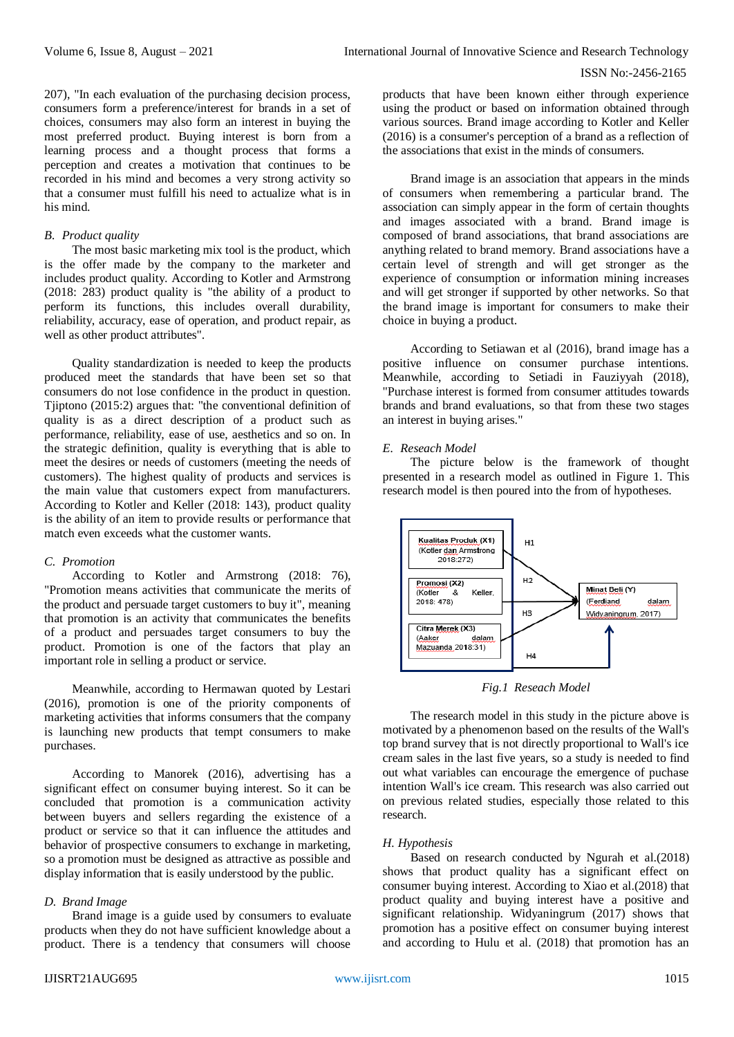207), "In each evaluation of the purchasing decision process, consumers form a preference/interest for brands in a set of choices, consumers may also form an interest in buying the most preferred product. Buying interest is born from a learning process and a thought process that forms a perception and creates a motivation that continues to be recorded in his mind and becomes a very strong activity so that a consumer must fulfill his need to actualize what is in his mind.

## *B. Product quality*

The most basic marketing mix tool is the product, which is the offer made by the company to the marketer and includes product quality. According to Kotler and Armstrong (2018: 283) product quality is "the ability of a product to perform its functions, this includes overall durability, reliability, accuracy, ease of operation, and product repair, as well as other product attributes".

Quality standardization is needed to keep the products produced meet the standards that have been set so that consumers do not lose confidence in the product in question. Tjiptono (2015:2) argues that: "the conventional definition of quality is as a direct description of a product such as performance, reliability, ease of use, aesthetics and so on. In the strategic definition, quality is everything that is able to meet the desires or needs of customers (meeting the needs of customers). The highest quality of products and services is the main value that customers expect from manufacturers. According to Kotler and Keller (2018: 143), product quality is the ability of an item to provide results or performance that match even exceeds what the customer wants.

## *C. Promotion*

According to Kotler and Armstrong (2018: 76), "Promotion means activities that communicate the merits of the product and persuade target customers to buy it", meaning that promotion is an activity that communicates the benefits of a product and persuades target consumers to buy the product. Promotion is one of the factors that play an important role in selling a product or service.

Meanwhile, according to Hermawan quoted by Lestari (2016), promotion is one of the priority components of marketing activities that informs consumers that the company is launching new products that tempt consumers to make purchases.

According to Manorek (2016), advertising has a significant effect on consumer buying interest. So it can be concluded that promotion is a communication activity between buyers and sellers regarding the existence of a product or service so that it can influence the attitudes and behavior of prospective consumers to exchange in marketing, so a promotion must be designed as attractive as possible and display information that is easily understood by the public.

## *D. Brand Image*

Brand image is a guide used by consumers to evaluate products when they do not have sufficient knowledge about a product. There is a tendency that consumers will choose

products that have been known either through experience using the product or based on information obtained through various sources. Brand image according to Kotler and Keller (2016) is a consumer's perception of a brand as a reflection of the associations that exist in the minds of consumers.

Brand image is an association that appears in the minds of consumers when remembering a particular brand. The association can simply appear in the form of certain thoughts and images associated with a brand. Brand image is composed of brand associations, that brand associations are anything related to brand memory. Brand associations have a certain level of strength and will get stronger as the experience of consumption or information mining increases and will get stronger if supported by other networks. So that the brand image is important for consumers to make their choice in buying a product.

According to Setiawan et al (2016), brand image has a positive influence on consumer purchase intentions. Meanwhile, according to Setiadi in Fauziyyah (2018), "Purchase interest is formed from consumer attitudes towards brands and brand evaluations, so that from these two stages an interest in buying arises."

## *E. Reseach Model*

The picture below is the framework of thought presented in a research model as outlined in Figure 1. This research model is then poured into the from of hypotheses.



*Fig.1 Reseach Model*

The research model in this study in the picture above is motivated by a phenomenon based on the results of the Wall's top brand survey that is not directly proportional to Wall's ice cream sales in the last five years, so a study is needed to find out what variables can encourage the emergence of puchase intention Wall's ice cream. This research was also carried out on previous related studies, especially those related to this research.

## *H. Hypothesis*

Based on research conducted by Ngurah et al.(2018) shows that product quality has a significant effect on consumer buying interest. According to Xiao et al.(2018) that product quality and buying interest have a positive and significant relationship. Widyaningrum (2017) shows that promotion has a positive effect on consumer buying interest and according to Hulu et al. (2018) that promotion has an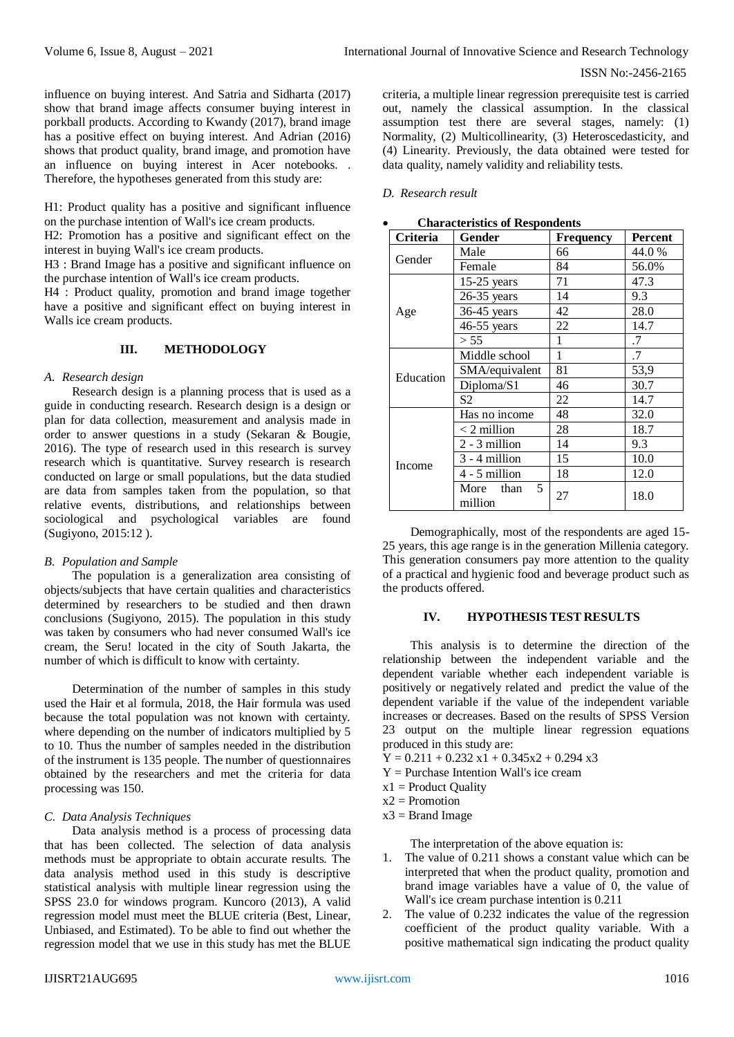influence on buying interest. And Satria and Sidharta (2017) show that brand image affects consumer buying interest in porkball products. According to Kwandy (2017), brand image has a positive effect on buying interest. And Adrian (2016) shows that product quality, brand image, and promotion have an influence on buying interest in Acer notebooks. . Therefore, the hypotheses generated from this study are:

H1: Product quality has a positive and significant influence on the purchase intention of Wall's ice cream products.

H2: Promotion has a positive and significant effect on the interest in buying Wall's ice cream products.

H3 : Brand Image has a positive and significant influence on the purchase intention of Wall's ice cream products.

H4 : Product quality, promotion and brand image together have a positive and significant effect on buying interest in Walls ice cream products.

## **III. METHODOLOGY**

#### *A. Research design*

Research design is a planning process that is used as a guide in conducting research. Research design is a design or plan for data collection, measurement and analysis made in order to answer questions in a study (Sekaran & Bougie, 2016). The type of research used in this research is survey research which is quantitative. Survey research is research conducted on large or small populations, but the data studied are data from samples taken from the population, so that relative events, distributions, and relationships between sociological and psychological variables are found (Sugiyono, 2015:12 ).

## *B. Population and Sample*

The population is a generalization area consisting of objects/subjects that have certain qualities and characteristics determined by researchers to be studied and then drawn conclusions (Sugiyono, 2015). The population in this study was taken by consumers who had never consumed Wall's ice cream, the Seru! located in the city of South Jakarta, the number of which is difficult to know with certainty.

Determination of the number of samples in this study used the Hair et al formula, 2018, the Hair formula was used because the total population was not known with certainty. where depending on the number of indicators multiplied by 5 to 10. Thus the number of samples needed in the distribution of the instrument is 135 people. The number of questionnaires obtained by the researchers and met the criteria for data processing was 150.

## *C. Data Analysis Techniques*

Data analysis method is a process of processing data that has been collected. The selection of data analysis methods must be appropriate to obtain accurate results. The data analysis method used in this study is descriptive statistical analysis with multiple linear regression using the SPSS 23.0 for windows program. Kuncoro (2013), A valid regression model must meet the BLUE criteria (Best, Linear, Unbiased, and Estimated). To be able to find out whether the regression model that we use in this study has met the BLUE

criteria, a multiple linear regression prerequisite test is carried out, namely the classical assumption. In the classical assumption test there are several stages, namely: (1) Normality, (2) Multicollinearity, (3) Heteroscedasticity, and (4) Linearity. Previously, the data obtained were tested for data quality, namely validity and reliability tests.

#### *D. Research result*

| <b>Criteria</b> | Gender                    | Frequency | Percent |
|-----------------|---------------------------|-----------|---------|
| Gender          | Male                      | 66        | 44.0 %  |
|                 | Female                    | 84        | 56.0%   |
|                 | $15-25$ years             | 71        | 47.3    |
|                 | 26-35 years               | 14        | 9.3     |
| Age             | 36-45 years               | 42        | 28.0    |
|                 | 46-55 years               | 22        | 14.7    |
|                 | > 55                      | 1         | .7      |
|                 | Middle school             | 1         | .7      |
| Education       | SMA/equivalent            | 81        | 53,9    |
|                 | Diploma/S1                | 46        | 30.7    |
|                 | S2                        | 22        | 14.7    |
|                 | Has no income             | 48        | 32.0    |
|                 | $<$ 2 million             | 28        | 18.7    |
| Income          | $2 - 3$ million           | 14        | 9.3     |
|                 | $3 - 4$ million           | 15        | 10.0    |
|                 | $4 - 5$ million           | 18        | 12.0    |
|                 | More than<br>5<br>million | 27        | 18.0    |

**Characteristics of Respondents**

Demographically, most of the respondents are aged 15- 25 years, this age range is in the generation Millenia category. This generation consumers pay more attention to the quality of a practical and hygienic food and beverage product such as the products offered.

## **IV. HYPOTHESIS TEST RESULTS**

This analysis is to determine the direction of the relationship between the independent variable and the dependent variable whether each independent variable is positively or negatively related and predict the value of the dependent variable if the value of the independent variable increases or decreases. Based on the results of SPSS Version 23 output on the multiple linear regression equations produced in this study are:

- $Y = 0.211 + 0.232 \text{ x}1 + 0.345 \text{ x}2 + 0.294 \text{ x}3$
- Y = Purchase Intention Wall's ice cream
- $x1 =$  Product Quality
- $x2 =$ Promotion
- $x3 = Brand Image$

The interpretation of the above equation is:

- 1. The value of 0.211 shows a constant value which can be interpreted that when the product quality, promotion and brand image variables have a value of 0, the value of Wall's ice cream purchase intention is 0.211
- 2. The value of 0.232 indicates the value of the regression coefficient of the product quality variable. With a positive mathematical sign indicating the product quality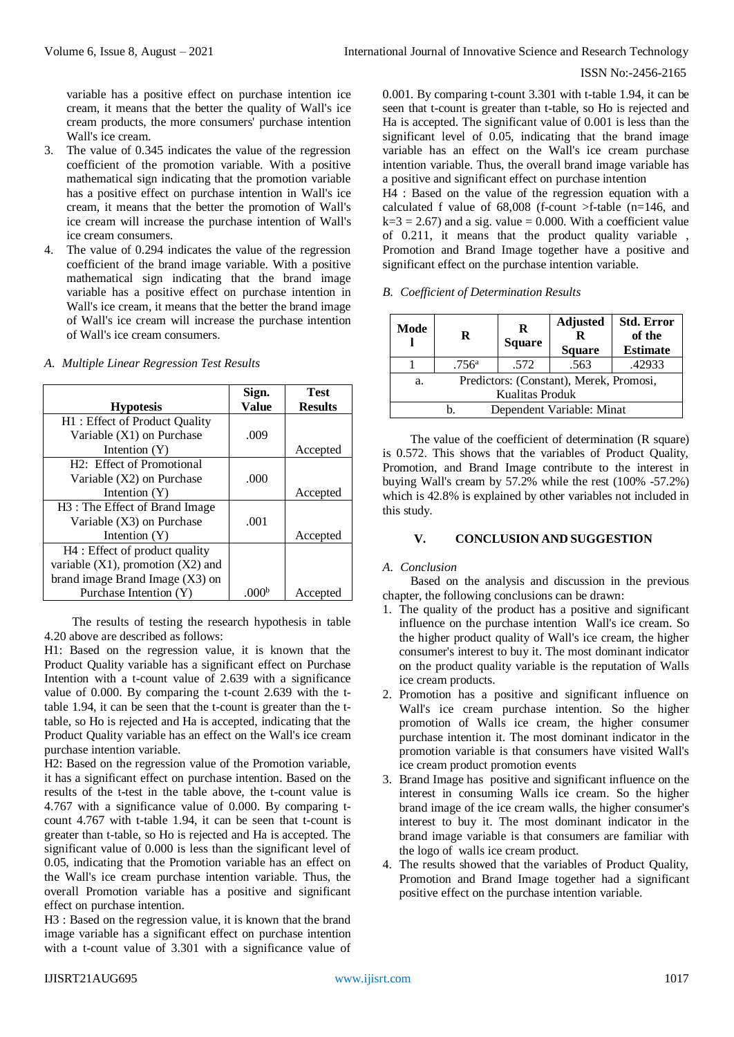variable has a positive effect on purchase intention ice cream, it means that the better the quality of Wall's ice cream products, the more consumers' purchase intention Wall's ice cream.

- 3. The value of 0.345 indicates the value of the regression coefficient of the promotion variable. With a positive mathematical sign indicating that the promotion variable has a positive effect on purchase intention in Wall's ice cream, it means that the better the promotion of Wall's ice cream will increase the purchase intention of Wall's ice cream consumers.
- 4. The value of 0.294 indicates the value of the regression coefficient of the brand image variable. With a positive mathematical sign indicating that the brand image variable has a positive effect on purchase intention in Wall's ice cream, it means that the better the brand image of Wall's ice cream will increase the purchase intention of Wall's ice cream consumers.

| A. Multiple Linear Regression Test Results |  |
|--------------------------------------------|--|
|--------------------------------------------|--|

|                                            | Sign.        | <b>Test</b>    |
|--------------------------------------------|--------------|----------------|
| <b>Hypotesis</b>                           | <b>Value</b> | <b>Results</b> |
| H1: Effect of Product Quality              |              |                |
| Variable (X1) on Purchase                  | .009         |                |
| Intention $(Y)$                            |              | Accepted       |
| H <sub>2</sub> : Effect of Promotional     |              |                |
| Variable (X2) on Purchase                  | .000         |                |
| Intention $(Y)$                            |              | Accepted       |
| H <sub>3</sub> : The Effect of Brand Image |              |                |
| Variable (X3) on Purchase                  | .001         |                |
| Intention $(Y)$                            |              | Accepted       |
| H4 : Effect of product quality             |              |                |
| variable $(X1)$ , promotion $(X2)$ and     |              |                |
| brand image Brand Image $(X3)$ on          |              |                |
| Purchase Intention (Y)                     | .000         | Accepted       |

The results of testing the research hypothesis in table 4.20 above are described as follows:

H1: Based on the regression value, it is known that the Product Quality variable has a significant effect on Purchase Intention with a t-count value of 2.639 with a significance value of 0.000. By comparing the t-count 2.639 with the ttable 1.94, it can be seen that the t-count is greater than the ttable, so Ho is rejected and Ha is accepted, indicating that the Product Quality variable has an effect on the Wall's ice cream purchase intention variable.

H2: Based on the regression value of the Promotion variable, it has a significant effect on purchase intention. Based on the results of the t-test in the table above, the t-count value is 4.767 with a significance value of 0.000. By comparing tcount 4.767 with t-table 1.94, it can be seen that t-count is greater than t-table, so Ho is rejected and Ha is accepted. The significant value of 0.000 is less than the significant level of 0.05, indicating that the Promotion variable has an effect on the Wall's ice cream purchase intention variable. Thus, the overall Promotion variable has a positive and significant effect on purchase intention.

H3 : Based on the regression value, it is known that the brand image variable has a significant effect on purchase intention with a t-count value of 3.301 with a significance value of 0.001. By comparing t-count 3.301 with t-table 1.94, it can be seen that t-count is greater than t-table, so Ho is rejected and Ha is accepted. The significant value of 0.001 is less than the significant level of 0.05, indicating that the brand image variable has an effect on the Wall's ice cream purchase intention variable. Thus, the overall brand image variable has a positive and significant effect on purchase intention

H4 : Based on the value of the regression equation with a calculated f value of  $68,008$  (f-count  $\ge$ f-table (n=146, and  $k=3 = 2.67$ ) and a sig. value = 0.000. With a coefficient value of 0.211, it means that the product quality variable , Promotion and Brand Image together have a positive and significant effect on the purchase intention variable.

*B. Coefficient of Determination Results*

| Mode                                                             | R              | R<br><b>Square</b> | <b>Adjusted</b><br>R<br><b>Square</b> | <b>Std. Error</b><br>of the<br><b>Estimate</b> |
|------------------------------------------------------------------|----------------|--------------------|---------------------------------------|------------------------------------------------|
|                                                                  | $.756^{\circ}$ | .572               | .563                                  | .42933                                         |
| Predictors: (Constant), Merek, Promosi,<br>a.<br>Kualitas Produk |                |                    |                                       |                                                |
| Dependent Variable: Minat<br>n.                                  |                |                    |                                       |                                                |

The value of the coefficient of determination (R square) is 0.572. This shows that the variables of Product Quality, Promotion, and Brand Image contribute to the interest in buying Wall's cream by 57.2% while the rest (100% -57.2%) which is 42.8% is explained by other variables not included in this study.

## **V. CONCLUSION AND SUGGESTION**

#### *A. Conclusion*

Based on the analysis and discussion in the previous chapter, the following conclusions can be drawn:

- 1. The quality of the product has a positive and significant influence on the purchase intention Wall's ice cream. So the higher product quality of Wall's ice cream, the higher consumer's interest to buy it. The most dominant indicator on the product quality variable is the reputation of Walls ice cream products.
- 2. Promotion has a positive and significant influence on Wall's ice cream purchase intention. So the higher promotion of Walls ice cream, the higher consumer purchase intention it. The most dominant indicator in the promotion variable is that consumers have visited Wall's ice cream product promotion events
- 3. Brand Image has positive and significant influence on the interest in consuming Walls ice cream. So the higher brand image of the ice cream walls, the higher consumer's interest to buy it. The most dominant indicator in the brand image variable is that consumers are familiar with the logo of walls ice cream product.
- 4. The results showed that the variables of Product Quality, Promotion and Brand Image together had a significant positive effect on the purchase intention variable.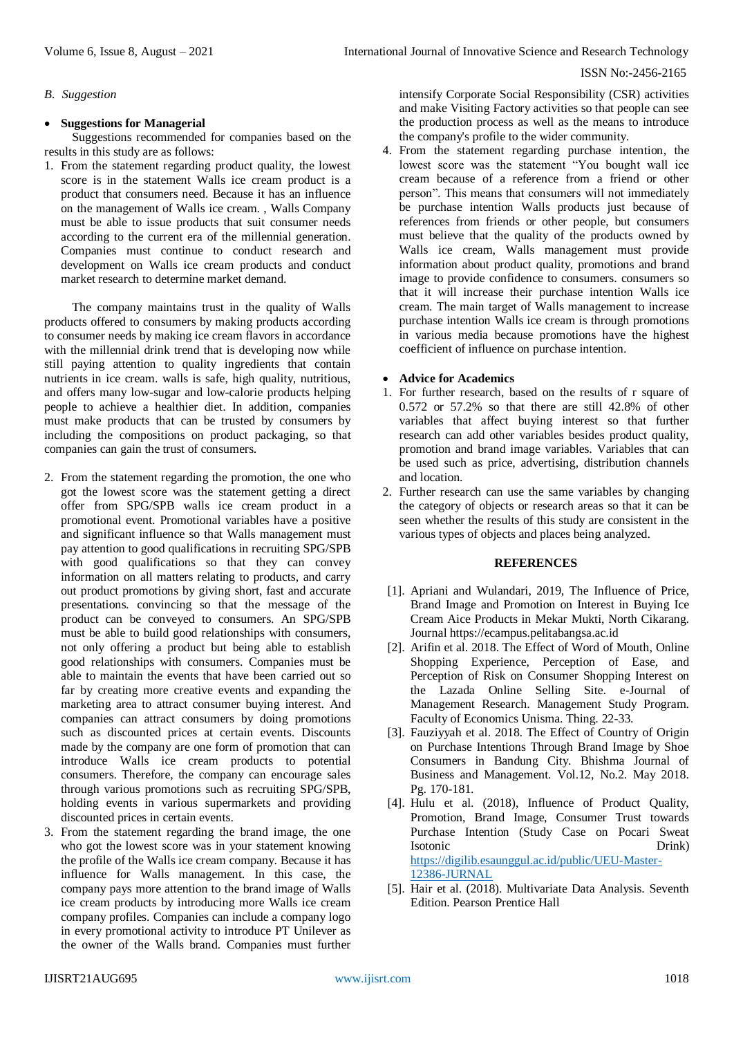## *B. Suggestion*

## **Suggestions for Managerial**

Suggestions recommended for companies based on the results in this study are as follows:

1. From the statement regarding product quality, the lowest score is in the statement Walls ice cream product is a product that consumers need. Because it has an influence on the management of Walls ice cream. , Walls Company must be able to issue products that suit consumer needs according to the current era of the millennial generation. Companies must continue to conduct research and development on Walls ice cream products and conduct market research to determine market demand.

The company maintains trust in the quality of Walls products offered to consumers by making products according to consumer needs by making ice cream flavors in accordance with the millennial drink trend that is developing now while still paying attention to quality ingredients that contain nutrients in ice cream. walls is safe, high quality, nutritious, and offers many low-sugar and low-calorie products helping people to achieve a healthier diet. In addition, companies must make products that can be trusted by consumers by including the compositions on product packaging, so that companies can gain the trust of consumers.

- 2. From the statement regarding the promotion, the one who got the lowest score was the statement getting a direct offer from SPG/SPB walls ice cream product in a promotional event. Promotional variables have a positive and significant influence so that Walls management must pay attention to good qualifications in recruiting SPG/SPB with good qualifications so that they can convey information on all matters relating to products, and carry out product promotions by giving short, fast and accurate presentations. convincing so that the message of the product can be conveyed to consumers. An SPG/SPB must be able to build good relationships with consumers, not only offering a product but being able to establish good relationships with consumers. Companies must be able to maintain the events that have been carried out so far by creating more creative events and expanding the marketing area to attract consumer buying interest. And companies can attract consumers by doing promotions such as discounted prices at certain events. Discounts made by the company are one form of promotion that can introduce Walls ice cream products to potential consumers. Therefore, the company can encourage sales through various promotions such as recruiting SPG/SPB, holding events in various supermarkets and providing discounted prices in certain events.
- 3. From the statement regarding the brand image, the one who got the lowest score was in your statement knowing the profile of the Walls ice cream company. Because it has influence for Walls management. In this case, the company pays more attention to the brand image of Walls ice cream products by introducing more Walls ice cream company profiles. Companies can include a company logo in every promotional activity to introduce PT Unilever as the owner of the Walls brand. Companies must further

intensify Corporate Social Responsibility (CSR) activities and make Visiting Factory activities so that people can see the production process as well as the means to introduce the company's profile to the wider community.

4. From the statement regarding purchase intention, the lowest score was the statement "You bought wall ice cream because of a reference from a friend or other person". This means that consumers will not immediately be purchase intention Walls products just because of references from friends or other people, but consumers must believe that the quality of the products owned by Walls ice cream, Walls management must provide information about product quality, promotions and brand image to provide confidence to consumers. consumers so that it will increase their purchase intention Walls ice cream. The main target of Walls management to increase purchase intention Walls ice cream is through promotions in various media because promotions have the highest coefficient of influence on purchase intention.

## **Advice for Academics**

- 1. For further research, based on the results of r square of 0.572 or 57.2% so that there are still 42.8% of other variables that affect buying interest so that further research can add other variables besides product quality, promotion and brand image variables. Variables that can be used such as price, advertising, distribution channels and location.
- 2. Further research can use the same variables by changing the category of objects or research areas so that it can be seen whether the results of this study are consistent in the various types of objects and places being analyzed.

## **REFERENCES**

- [1]. Apriani and Wulandari, 2019, The Influence of Price, Brand Image and Promotion on Interest in Buying Ice Cream Aice Products in Mekar Mukti, North Cikarang. Journal https://ecampus.pelitabangsa.ac.id
- [2]. Arifin et al. 2018. The Effect of Word of Mouth, Online Shopping Experience, Perception of Ease, and Perception of Risk on Consumer Shopping Interest on the Lazada Online Selling Site. e-Journal of Management Research. Management Study Program. Faculty of Economics Unisma. Thing. 22-33.
- [3]. Fauziyyah et al. 2018. The Effect of Country of Origin on Purchase Intentions Through Brand Image by Shoe Consumers in Bandung City. Bhishma Journal of Business and Management. Vol.12, No.2. May 2018. Pg. 170-181.
- [4]. Hulu et al. (2018), Influence of Product Quality, Promotion, Brand Image, Consumer Trust towards Purchase Intention (Study Case on Pocari Sweat Isotonic Drink) [https://digilib.esaunggul.ac.id/public/UEU-Master-](https://digilib.esaunggul.ac.id/public/UEU-Master-12386-JURNAL)[12386-JURNAL](https://digilib.esaunggul.ac.id/public/UEU-Master-12386-JURNAL)
- [5]. Hair et al. (2018). Multivariate Data Analysis. Seventh Edition. Pearson Prentice Hall